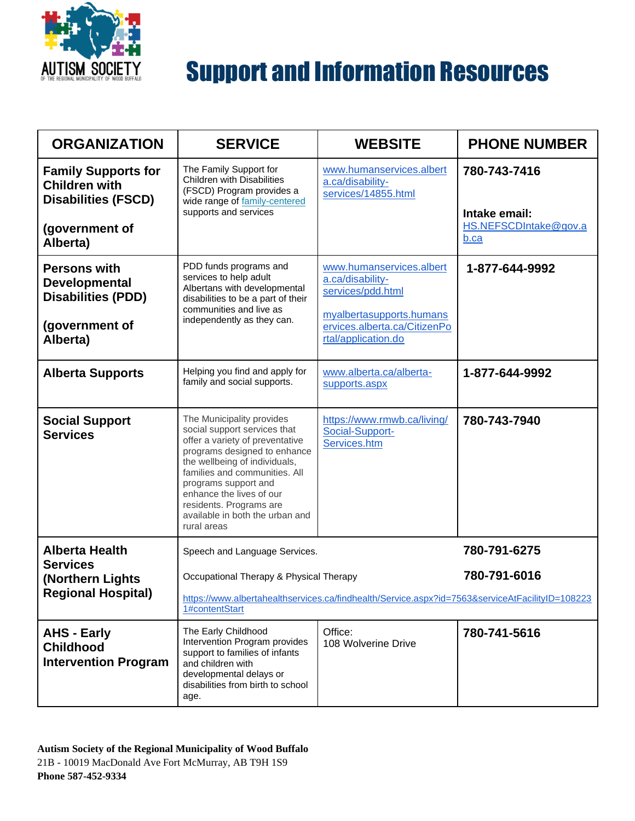

| <b>ORGANIZATION</b>                                                                                            | <b>SERVICE</b>                                                                                                                                                                                                                                                                                                                  | <b>WEBSITE</b>                                                                                                                                       | <b>PHONE NUMBER</b>                                            |
|----------------------------------------------------------------------------------------------------------------|---------------------------------------------------------------------------------------------------------------------------------------------------------------------------------------------------------------------------------------------------------------------------------------------------------------------------------|------------------------------------------------------------------------------------------------------------------------------------------------------|----------------------------------------------------------------|
| <b>Family Supports for</b><br><b>Children with</b><br><b>Disabilities (FSCD)</b><br>(government of<br>Alberta) | The Family Support for<br><b>Children with Disabilities</b><br>(FSCD) Program provides a<br>wide range of family-centered<br>supports and services                                                                                                                                                                              | www.humanservices.albert<br>a.ca/disability-<br>services/14855.html                                                                                  | 780-743-7416<br>Intake email:<br>HS.NEFSCDIntake@gov.a<br>b.ca |
| <b>Persons with</b><br><b>Developmental</b><br><b>Disabilities (PDD)</b><br>(government of<br>Alberta)         | PDD funds programs and<br>services to help adult<br>Albertans with developmental<br>disabilities to be a part of their<br>communities and live as<br>independently as they can.                                                                                                                                                 | www.humanservices.albert<br>a.ca/disability-<br>services/pdd.html<br>myalbertasupports.humans<br>ervices.alberta.ca/CitizenPo<br>rtal/application.do | 1-877-644-9992                                                 |
| <b>Alberta Supports</b>                                                                                        | Helping you find and apply for<br>family and social supports.                                                                                                                                                                                                                                                                   | www.alberta.ca/alberta-<br>supports.aspx                                                                                                             | 1-877-644-9992                                                 |
| <b>Social Support</b><br><b>Services</b>                                                                       | The Municipality provides<br>social support services that<br>offer a variety of preventative<br>programs designed to enhance<br>the wellbeing of individuals,<br>families and communities. All<br>programs support and<br>enhance the lives of our<br>residents. Programs are<br>available in both the urban and<br>rural areas | https://www.rmwb.ca/living/<br>Social-Support-<br>Services.htm                                                                                       | 780-743-7940                                                   |
| <b>Alberta Health</b><br><b>Services</b>                                                                       | Speech and Language Services.                                                                                                                                                                                                                                                                                                   |                                                                                                                                                      | 780-791-6275                                                   |
| (Northern Lights<br><b>Regional Hospital)</b>                                                                  | Occupational Therapy & Physical Therapy<br>https://www.albertahealthservices.ca/findhealth/Service.aspx?id=7563&serviceAtFacilityID=108223<br>1#contentStart                                                                                                                                                                    |                                                                                                                                                      | 780-791-6016                                                   |
| <b>AHS - Early</b><br><b>Childhood</b><br><b>Intervention Program</b>                                          | The Early Childhood<br>Intervention Program provides<br>support to families of infants<br>and children with<br>developmental delays or<br>disabilities from birth to school<br>age.                                                                                                                                             | Office:<br>108 Wolverine Drive                                                                                                                       | 780-741-5616                                                   |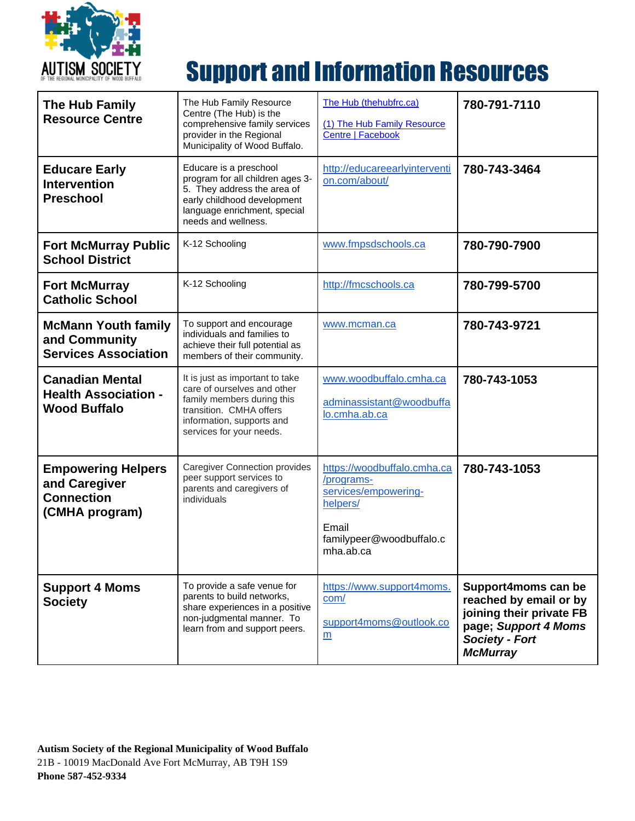

| The Hub Family<br><b>Resource Centre</b>                                          | The Hub Family Resource<br>Centre (The Hub) is the<br>comprehensive family services<br>provider in the Regional<br>Municipality of Wood Buffalo.                                 | The Hub (thehubfrc.ca)<br>(1) The Hub Family Resource<br><b>Centre   Facebook</b>                                               | 780-791-7110                                                                                                                                  |
|-----------------------------------------------------------------------------------|----------------------------------------------------------------------------------------------------------------------------------------------------------------------------------|---------------------------------------------------------------------------------------------------------------------------------|-----------------------------------------------------------------------------------------------------------------------------------------------|
| <b>Educare Early</b><br><b>Intervention</b><br><b>Preschool</b>                   | Educare is a preschool<br>program for all children ages 3-<br>5. They address the area of<br>early childhood development<br>language enrichment, special<br>needs and wellness.  | http://educareearlyinterventi<br>on.com/about/                                                                                  | 780-743-3464                                                                                                                                  |
| <b>Fort McMurray Public</b><br><b>School District</b>                             | K-12 Schooling                                                                                                                                                                   | www.fmpsdschools.ca                                                                                                             | 780-790-7900                                                                                                                                  |
| <b>Fort McMurray</b><br><b>Catholic School</b>                                    | K-12 Schooling                                                                                                                                                                   | http://fmcschools.ca                                                                                                            | 780-799-5700                                                                                                                                  |
| <b>McMann Youth family</b><br>and Community<br><b>Services Association</b>        | To support and encourage<br>individuals and families to<br>achieve their full potential as<br>members of their community.                                                        | www.mcman.ca                                                                                                                    | 780-743-9721                                                                                                                                  |
| <b>Canadian Mental</b><br><b>Health Association -</b><br><b>Wood Buffalo</b>      | It is just as important to take<br>care of ourselves and other<br>family members during this<br>transition. CMHA offers<br>information, supports and<br>services for your needs. | www.woodbuffalo.cmha.ca<br>adminassistant@woodbuffa<br>lo.cmha.ab.ca                                                            | 780-743-1053                                                                                                                                  |
| <b>Empowering Helpers</b><br>and Caregiver<br><b>Connection</b><br>(CMHA program) | <b>Caregiver Connection provides</b><br>peer support services to<br>parents and caregivers of<br>individuals                                                                     | https://woodbuffalo.cmha.ca<br>/programs-<br>services/empowering-<br>helpers/<br>Email<br>familypeer@woodbuffalo.c<br>mha.ab.ca | 780-743-1053                                                                                                                                  |
| <b>Support 4 Moms</b><br><b>Society</b>                                           | To provide a safe venue for<br>parents to build networks,<br>share experiences in a positive<br>non-judgmental manner. To<br>learn from and support peers.                       | https://www.support4moms.<br>com/<br>support4moms@outlook.co<br>m                                                               | Support4moms can be<br>reached by email or by<br>joining their private FB<br>page; Support 4 Moms<br><b>Society - Fort</b><br><b>McMurray</b> |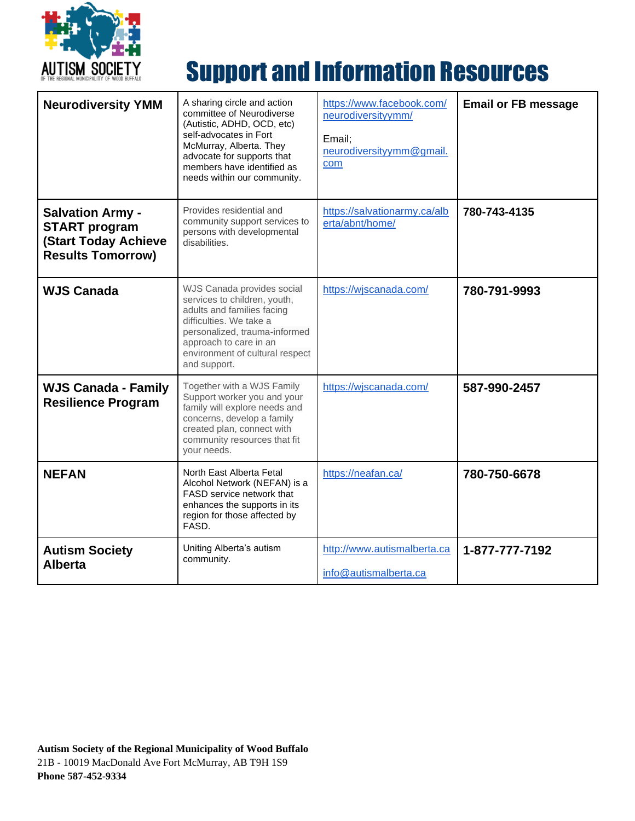

| <b>Neurodiversity YMM</b>                                                                                  | A sharing circle and action<br>committee of Neurodiverse<br>(Autistic, ADHD, OCD, etc)<br>self-advocates in Fort<br>McMurray, Alberta. They<br>advocate for supports that<br>members have identified as<br>needs within our community. | https://www.facebook.com/<br>neurodiversityymm/<br>Email;<br>neurodiversityymm@gmail.<br>com | <b>Email or FB message</b> |
|------------------------------------------------------------------------------------------------------------|----------------------------------------------------------------------------------------------------------------------------------------------------------------------------------------------------------------------------------------|----------------------------------------------------------------------------------------------|----------------------------|
| <b>Salvation Army -</b><br><b>START program</b><br><b>(Start Today Achieve</b><br><b>Results Tomorrow)</b> | Provides residential and<br>community support services to<br>persons with developmental<br>disabilities.                                                                                                                               | https://salvationarmy.ca/alb<br>erta/abnt/home/                                              | 780-743-4135               |
| <b>WJS Canada</b>                                                                                          | WJS Canada provides social<br>services to children, youth,<br>adults and families facing<br>difficulties. We take a<br>personalized, trauma-informed<br>approach to care in an<br>environment of cultural respect<br>and support.      | https://wjscanada.com/                                                                       | 780-791-9993               |
| <b>WJS Canada - Family</b><br><b>Resilience Program</b>                                                    | Together with a WJS Family<br>Support worker you and your<br>family will explore needs and<br>concerns, develop a family<br>created plan, connect with<br>community resources that fit<br>vour needs.                                  | https://wjscanada.com/                                                                       | 587-990-2457               |
| <b>NEFAN</b>                                                                                               | North East Alberta Fetal<br>Alcohol Network (NEFAN) is a<br>FASD service network that<br>enhances the supports in its<br>region for those affected by<br>FASD.                                                                         | https://neafan.ca/                                                                           | 780-750-6678               |
| <b>Autism Society</b><br><b>Alberta</b>                                                                    | Uniting Alberta's autism<br>community.                                                                                                                                                                                                 | http://www.autismalberta.ca<br>info@autismalberta.ca                                         | 1-877-777-7192             |